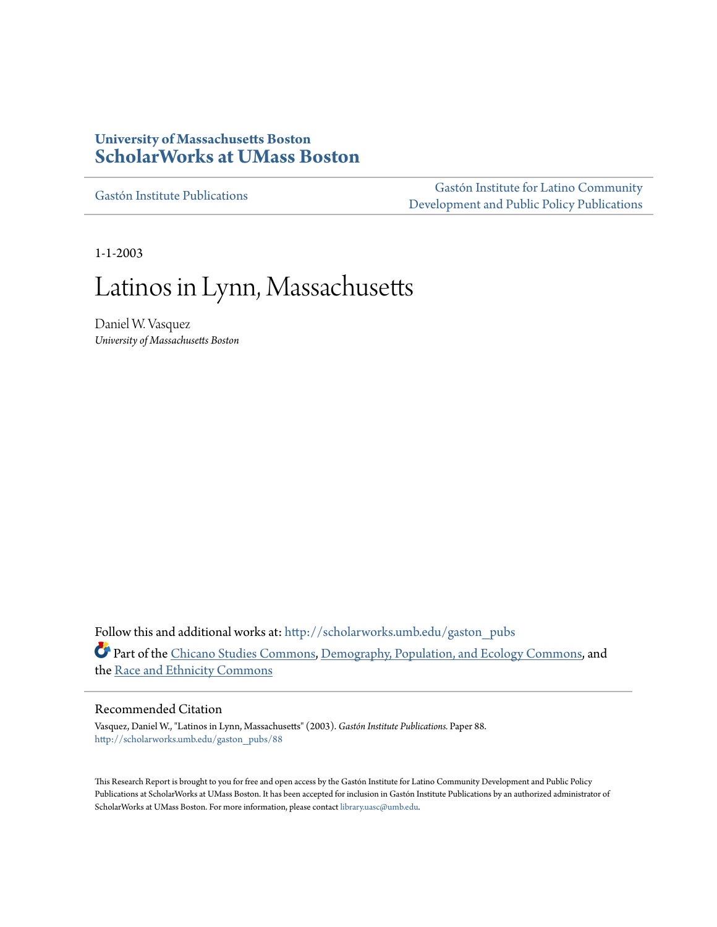## **University of Massachusetts Boston [ScholarWorks at UMass Boston](http://scholarworks.umb.edu?utm_source=scholarworks.umb.edu%2Fgaston_pubs%2F88&utm_medium=PDF&utm_campaign=PDFCoverPages)**

[Gastón Institute Publications](http://scholarworks.umb.edu/gaston_pubs?utm_source=scholarworks.umb.edu%2Fgaston_pubs%2F88&utm_medium=PDF&utm_campaign=PDFCoverPages)

[Gastón Institute for Latino Community](http://scholarworks.umb.edu/gastoninstitute?utm_source=scholarworks.umb.edu%2Fgaston_pubs%2F88&utm_medium=PDF&utm_campaign=PDFCoverPages) [Development and Public Policy Publications](http://scholarworks.umb.edu/gastoninstitute?utm_source=scholarworks.umb.edu%2Fgaston_pubs%2F88&utm_medium=PDF&utm_campaign=PDFCoverPages)

1-1-2003

# Latinos in Lynn, Massachusetts

Daniel W. Vasquez *University of Massachusetts Boston*

Follow this and additional works at: [http://scholarworks.umb.edu/gaston\\_pubs](http://scholarworks.umb.edu/gaston_pubs?utm_source=scholarworks.umb.edu%2Fgaston_pubs%2F88&utm_medium=PDF&utm_campaign=PDFCoverPages) Part of the [Chicano Studies Commons,](http://network.bepress.com/hgg/discipline/569?utm_source=scholarworks.umb.edu%2Fgaston_pubs%2F88&utm_medium=PDF&utm_campaign=PDFCoverPages) [Demography, Population, and Ecology Commons](http://network.bepress.com/hgg/discipline/418?utm_source=scholarworks.umb.edu%2Fgaston_pubs%2F88&utm_medium=PDF&utm_campaign=PDFCoverPages), and the [Race and Ethnicity Commons](http://network.bepress.com/hgg/discipline/426?utm_source=scholarworks.umb.edu%2Fgaston_pubs%2F88&utm_medium=PDF&utm_campaign=PDFCoverPages)

### Recommended Citation

Vasquez, Daniel W., "Latinos in Lynn, Massachusetts" (2003). *Gastón Institute Publications.* Paper 88. [http://scholarworks.umb.edu/gaston\\_pubs/88](http://scholarworks.umb.edu/gaston_pubs/88?utm_source=scholarworks.umb.edu%2Fgaston_pubs%2F88&utm_medium=PDF&utm_campaign=PDFCoverPages)

This Research Report is brought to you for free and open access by the Gastón Institute for Latino Community Development and Public Policy Publications at ScholarWorks at UMass Boston. It has been accepted for inclusion in Gastón Institute Publications by an authorized administrator of ScholarWorks at UMass Boston. For more information, please contact [library.uasc@umb.edu](mailto:library.uasc@umb.edu).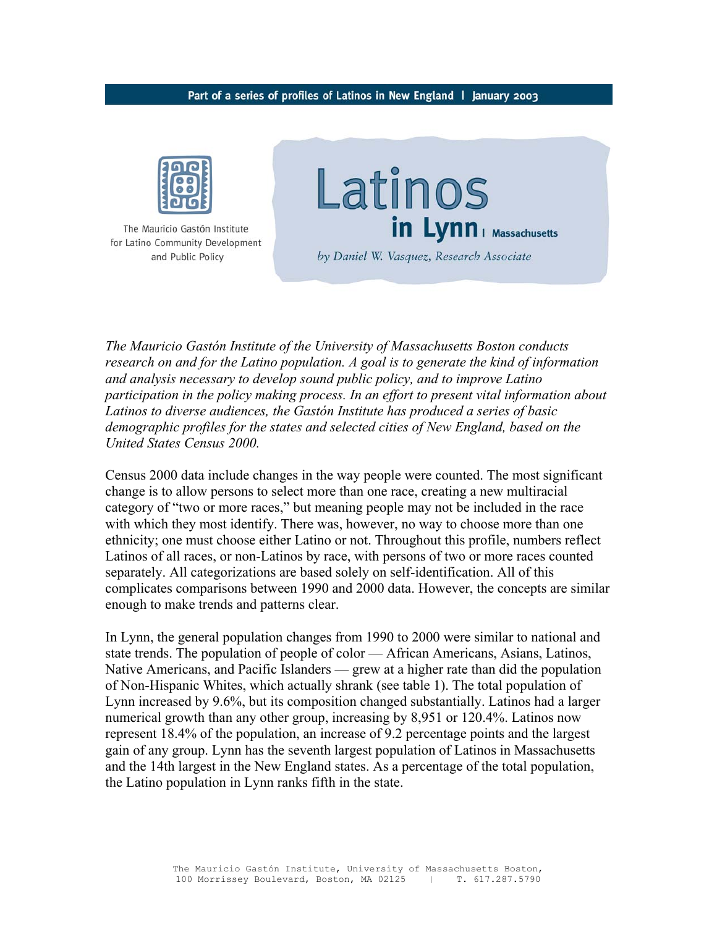#### Part of a series of profiles of Latinos in New England | January 2003



The Mauricio Gastón Institute for Latino Community Development and Public Policy



by Daniel W. Vasquez, Research Associate

*The Mauricio Gastón Institute of the University of Massachusetts Boston conducts research on and for the Latino population. A goal is to generate the kind of information and analysis necessary to develop sound public policy, and to improve Latino participation in the policy making process. In an effort to present vital information about Latinos to diverse audiences, the Gastón Institute has produced a series of basic demographic profiles for the states and selected cities of New England, based on the United States Census 2000.* 

Census 2000 data include changes in the way people were counted. The most significant change is to allow persons to select more than one race, creating a new multiracial category of "two or more races," but meaning people may not be included in the race with which they most identify. There was, however, no way to choose more than one ethnicity; one must choose either Latino or not. Throughout this profile, numbers reflect Latinos of all races, or non-Latinos by race, with persons of two or more races counted separately. All categorizations are based solely on self-identification. All of this complicates comparisons between 1990 and 2000 data. However, the concepts are similar enough to make trends and patterns clear.

In Lynn, the general population changes from 1990 to 2000 were similar to national and state trends. The population of people of color — African Americans, Asians, Latinos, Native Americans, and Pacific Islanders — grew at a higher rate than did the population of Non-Hispanic Whites, which actually shrank (see table 1). The total population of Lynn increased by 9.6%, but its composition changed substantially. Latinos had a larger numerical growth than any other group, increasing by 8,951 or 120.4%. Latinos now represent 18.4% of the population, an increase of 9.2 percentage points and the largest gain of any group. Lynn has the seventh largest population of Latinos in Massachusetts and the 14th largest in the New England states. As a percentage of the total population, the Latino population in Lynn ranks fifth in the state.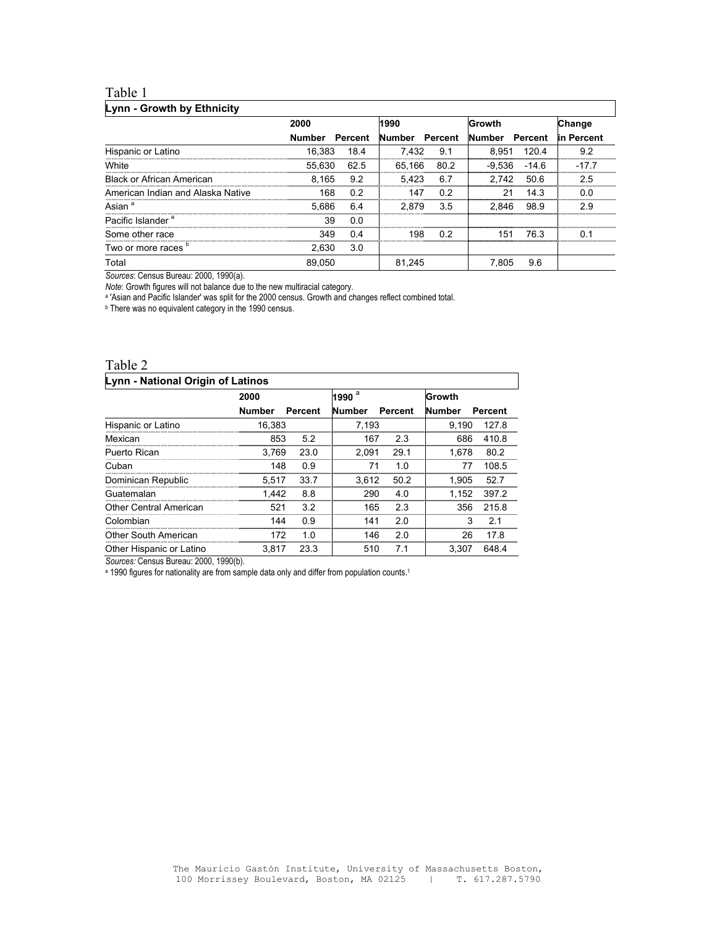### Table 1

### **Lynn - Growth by Ethnicity**

|                                   | 2000          |         | 1990           |      | Growth   | Change  |             |
|-----------------------------------|---------------|---------|----------------|------|----------|---------|-------------|
|                                   | <b>Number</b> | Percent | Number Percent |      | Number   | Percent | lin Percent |
| Hispanic or Latino                | 16.383        | 18.4    | 7.432          | 9.1  | 8.951    | 120.4   | 9.2         |
| White                             | 55,630        | 62.5    | 65.166         | 80.2 | $-9.536$ | $-14.6$ | $-17.7$     |
| <b>Black or African American</b>  | 8.165         | 9.2     | 5.423          | 6.7  | 2.742    | 50.6    | 2.5         |
| American Indian and Alaska Native | 168           | 0.2     | 147            | 0.2  | 21       | 14.3    | 0.0         |
| Asian <sup>a</sup>                | 5.686         | 6.4     | 2.879          | 3.5  | 2.846    | 98.9    | 29          |
| Pacific Islander <sup>a</sup>     | 39            | 0.0     |                |      |          |         |             |
| Some other race                   | 349           | 0.4     | 198            | 02   | 151      | 763     | 0 1         |
| Two or more races "               | 2.630         | 3.0     |                |      |          |         |             |
| Total                             | 89.050        |         | 81.245         |      | 7.805    | 9.6     |             |

٦

*Sources*: Census Bureau: 2000, 1990(a).

*Note*: Growth figures will not balance due to the new multiracial category.

a 'Asian and Pacific Islander' was split for the 2000 census. Growth and changes reflect combined total.<br>
<sup>b</sup> There was no equivalent category in the 1990 census.

# Table 2

| Lynn - National Origin of Latinos |               |         |               |         |               |         |  |  |
|-----------------------------------|---------------|---------|---------------|---------|---------------|---------|--|--|
|                                   | 2000          |         | 1990 $a$      |         | Growth        |         |  |  |
|                                   | <b>Number</b> | Percent | <b>Number</b> | Percent | <b>Number</b> | Percent |  |  |
| Hispanic or Latino                | 16.383        |         | 7,193         |         | 9.190         | 127.8   |  |  |
| Mexican                           | 853           | 5.2     | 167           | 2.3     | 686           | 410.8   |  |  |
| Puerto Rican                      | 3.769         | 23.0    | 2.091         | 29.1    | 1.678         | 80.2    |  |  |
| Cuban                             | 148           | 0.9     | 71            | 1.0     | 77            | 108.5   |  |  |
| Dominican Republic                | 5.517         | 33.7    | 3.612         | 50.2    | 1.905         | 52.7    |  |  |
| Guatemalan                        | 1.442         | 8.8     | 290           | 4.0     | 1.152         | 397.2   |  |  |
| <b>Other Central American</b>     | 521           | 3.2     | 165           | 2.3     | 356           | 215.8   |  |  |
| Colombian                         | 144           | ი 9     | 141           | 2.0     | 3             | 2.1     |  |  |
| Other South American              | 172           |         | 146           | 2.0     | 26            | 17.8    |  |  |
| Other Hispanic or Latino          | 3.817         | 23.3    | 510           | 71      | 3.307         | 648.4   |  |  |

*Sources:* Census Bureau: 2000, 1990(b).

a 1990 figures for nationality are from sample data only and differ from population counts.<sup>1</sup>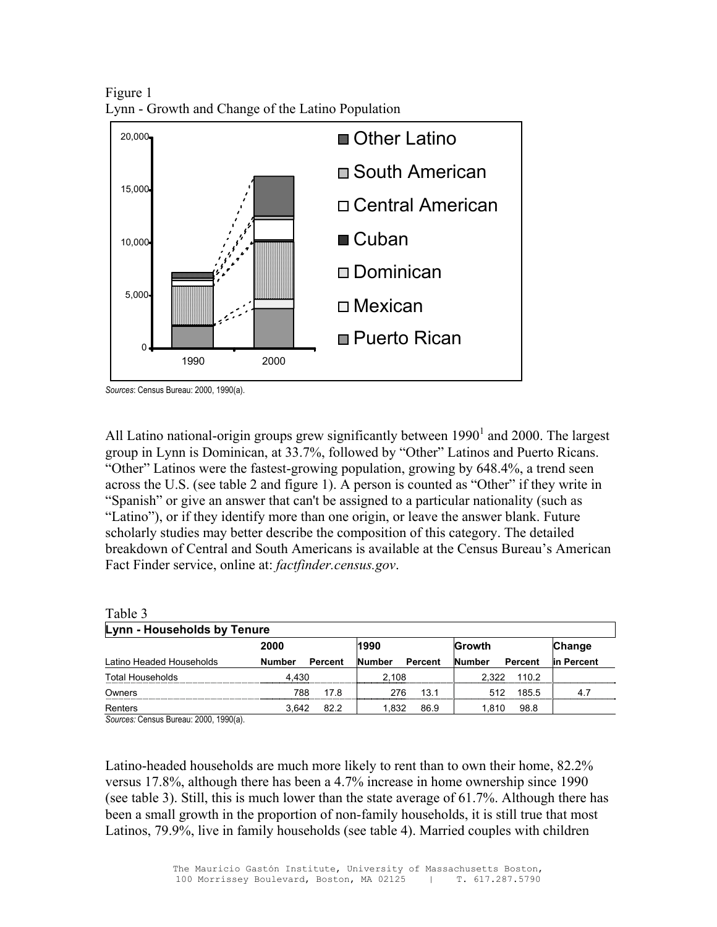Figure 1 Lynn - Growth and Change of the Latino Population



*Sources*: Census Bureau: 2000, 1990(a).

All Latino national-origin groups grew significantly between  $1990<sup>1</sup>$  and 2000. The largest group in Lynn is Dominican, at 33.7%, followed by "Other" Latinos and Puerto Ricans. "Other" Latinos were the fastest-growing population, growing by 648.4%, a trend seen across the U.S. (see table 2 and figure 1). A person is counted as "Other" if they write in "Spanish" or give an answer that can't be assigned to a particular nationality (such as "Latino"), or if they identify more than one origin, or leave the answer blank. Future scholarly studies may better describe the composition of this category. The detailed breakdown of Central and South Americans is available at the Census Bureau's American Fact Finder service, online at: *factfinder.census.gov*.

| Table 3                     |               |         |               |         |               |         |            |  |
|-----------------------------|---------------|---------|---------------|---------|---------------|---------|------------|--|
| Lynn - Households by Tenure |               |         |               |         |               |         |            |  |
|                             | 2000          |         | 1990          |         | <b>Growth</b> |         | Change     |  |
| Latino Headed Households    | <b>Number</b> | Percent | <b>Number</b> | Percent | <b>Number</b> | Percent | in Percent |  |
| Total Households            | 4.430         |         | 2.108         |         | 2.322         | 110.2   |            |  |
| Owners                      | 788           | 17.8    | 276           | 13.1    | 512           | 185.5   | 4.7        |  |
| Renters                     | 3.642         | 82.2    | 1.832         | 86.9    | 1.810         | 98.8    |            |  |

*Sources:* Census Bureau: 2000, 1990(a).

Latino-headed households are much more likely to rent than to own their home, 82.2% versus 17.8%, although there has been a 4.7% increase in home ownership since 1990 (see table 3). Still, this is much lower than the state average of 61.7%. Although there has been a small growth in the proportion of non-family households, it is still true that most Latinos, 79.9%, live in family households (see table 4). Married couples with children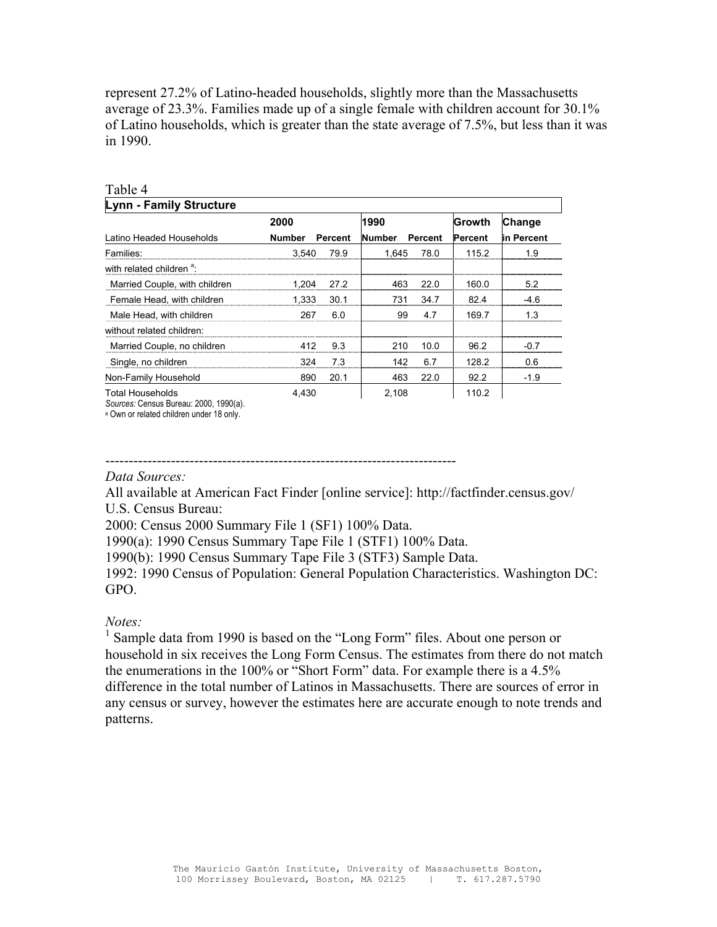represent 27.2% of Latino-headed households, slightly more than the Massachusetts average of 23.3%. Families made up of a single female with children account for 30.1% of Latino households, which is greater than the state average of 7.5%, but less than it was in 1990.

| Table 4                              |               |         |               |         |                |            |
|--------------------------------------|---------------|---------|---------------|---------|----------------|------------|
| Lynn - Family Structure              |               |         |               |         |                |            |
|                                      | 2000          |         | 1990          |         | Growth         | Change     |
| Latino Headed Households             | <b>Number</b> | Percent | <b>Number</b> | Percent | <b>Percent</b> | in Percent |
| Families:                            | 3,540         | 79.9    | 1.645         | 78.0    | 115.2          | 1.9        |
| with related children <sup>a</sup> : |               |         |               |         |                |            |
| Married Couple, with children        | 1.204         | 27.2    | 463           | 22.0    | 160.0          | 5.2        |
| Female Head, with children           | 1.333         | 30.1    | 731           | 34.7    | 82.4           | -4.6       |
| Male Head, with children             | 267           | 6.0     | 99            | 4.7     | 169.7          | 1 3        |
| without related children:            |               |         |               |         |                |            |
| Married Couple, no children          | 412           | 9.3     | 210           | 10.0    | 96.2           | $-0.7$     |
| Single, no children                  | 324           | 7.3     | 142           | 6.7     | 128.2          | በ 6        |
| Non-Family Household                 | 890           | 20.1    | 463           | 22.0    | 92.2           | $-1.9$     |
| Total Households                     | 4.430         |         | 2,108         |         | 110.2          |            |

*Sources:* Census Bureau: 2000, 1990(a).

a Own or related children under 18 only.

### ---------------------------------------------------------------------------

### *Data Sources:*

All available at American Fact Finder [online service]: http://factfinder.census.gov/ U.S. Census Bureau:

2000: Census 2000 Summary File 1 (SF1) 100% Data.

1990(a): 1990 Census Summary Tape File 1 (STF1) 100% Data.

1990(b): 1990 Census Summary Tape File 3 (STF3) Sample Data.

1992: 1990 Census of Population: General Population Characteristics. Washington DC: GPO.

### *Notes:*

<sup>1</sup> Sample data from 1990 is based on the "Long Form" files. About one person or household in six receives the Long Form Census. The estimates from there do not match the enumerations in the 100% or "Short Form" data. For example there is a 4.5% difference in the total number of Latinos in Massachusetts. There are sources of error in any census or survey, however the estimates here are accurate enough to note trends and patterns.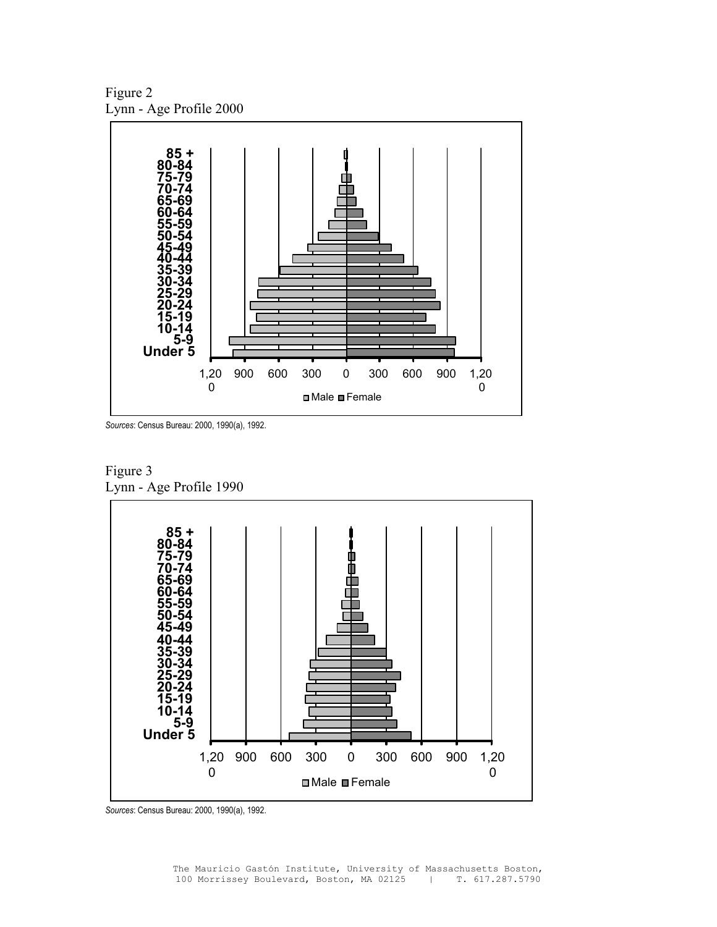Figure 2 Lynn - Age Profile 2000



*Sources*: Census Bureau: 2000, 1990(a), 1992.



Figure 3

*Sources*: Census Bureau: 2000, 1990(a), 1992.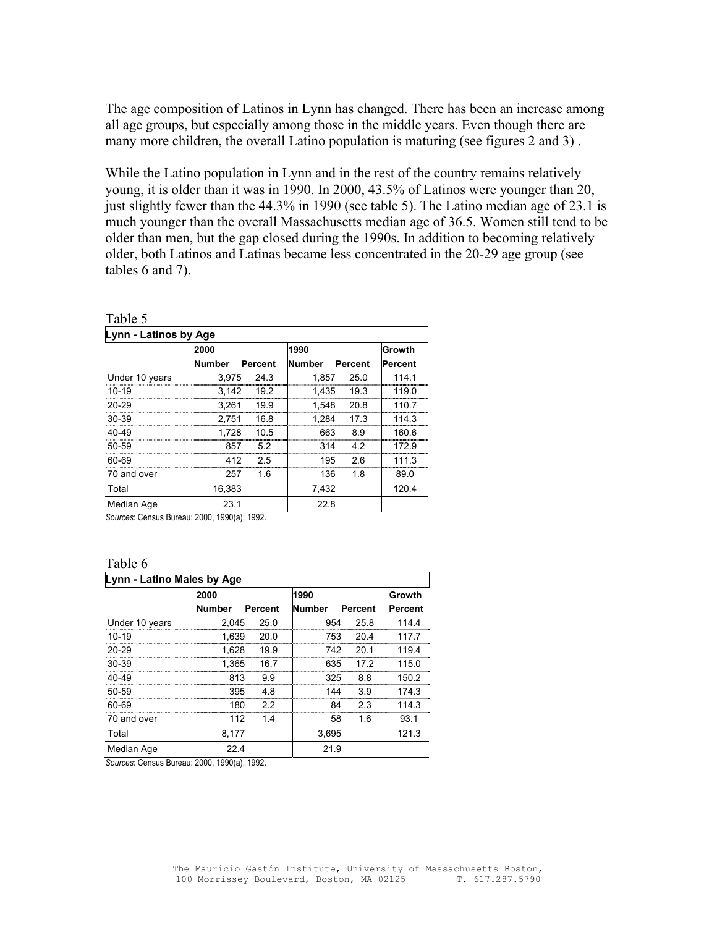The age composition of Latinos in Lynn has changed. There has been an increase among all age groups, but especially among those in the middle years. Even though there are many more children, the overall Latino population is maturing (see figures 2 and 3) .

While the Latino population in Lynn and in the rest of the country remains relatively young, it is older than it was in 1990. In 2000, 43.5% of Latinos were younger than 20, just slightly fewer than the 44.3% in 1990 (see table 5). The Latino median age of 23.1 is much younger than the overall Massachusetts median age of 36.5. Women still tend to be older than men, but the gap closed during the 1990s. In addition to becoming relatively older, both Latinos and Latinas became less concentrated in the 20-29 age group (see tables 6 and 7).

| Table 5               |               |         |               |         |         |  |  |  |
|-----------------------|---------------|---------|---------------|---------|---------|--|--|--|
| Lynn - Latinos by Age |               |         |               |         |         |  |  |  |
|                       | 2000          |         | 1990          |         | Growth  |  |  |  |
|                       | <b>Number</b> | Percent | <b>Number</b> | Percent | Percent |  |  |  |
| Under 10 years        | 3,975         | 24.3    | 1,857         | 25.0    | 114.1   |  |  |  |
| 10-19                 | 3,142         | 19.2    | 1,435         | 19.3    | 119.0   |  |  |  |
| 20-29                 | 3,261         | 19.9    | 1,548         | 20.8    | 110.7   |  |  |  |
| 30-39                 | 2.751         | 16.8    | 1.284         | 17.3    | 114.3   |  |  |  |
| 40-49                 | 1,728         | 10.5    | 663           | 8.9     | 160.6   |  |  |  |
| 50-59                 | 857           | 5.2     | 314           | 4.2     | 172.9   |  |  |  |
| 60-69                 | 412           | 25      | 195           | 2.6     | 111.3   |  |  |  |
| 70 and over           | 257           | 1.6     | 136           | 1.8     | 89.0    |  |  |  |
| Total                 | 16,383        |         | 7,432         |         | 120.4   |  |  |  |
| Median Age            | 23.1          |         | 22.8          |         |         |  |  |  |

*Sources*: Census Bureau: 2000, 1990(a), 1992.

#### Table 6

| Lynn - Latino Males by Age |               |         |               |         |         |  |  |  |
|----------------------------|---------------|---------|---------------|---------|---------|--|--|--|
|                            | 2000          |         | 1990          |         | Growth  |  |  |  |
|                            | <b>Number</b> | Percent | <b>Number</b> | Percent | Percent |  |  |  |
| Under 10 years             | 2.045         | 25.0    | 954           | 25.8    | 114.4   |  |  |  |
| $10-19$                    | 1.639         | 20.0    | 753           | 20.4    | 117.7   |  |  |  |
| 20-29                      | 1,628         | 19.9    | 742           | 20.1    | 119.4   |  |  |  |
| 30-39                      | 1.365         | 16.7    | 635           | 17 2    | 115.0   |  |  |  |
| $40 - 49$                  | 813           | 99      | 325           | 88      | 150.2   |  |  |  |
| 50-59                      | 395           | 4.8     | 144           | 3.9     | 174.3   |  |  |  |
| 60-69                      | 180           | 22      | RΔ            | 23      | 114.3   |  |  |  |
| 70 and over                | 112           | 1.4     | 58            | 1.6     | 93.1    |  |  |  |
| Total                      | 8,177         |         | 3,695         |         | 121.3   |  |  |  |
| Median Age                 | 22.4          |         | 21.9          |         |         |  |  |  |

*Sources*: Census Bureau: 2000, 1990(a), 1992.